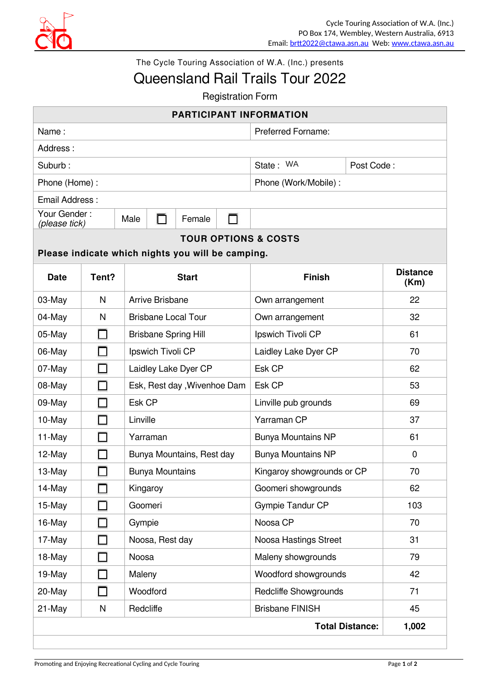

The Cycle Touring Association of W.A. (Inc.) presents

## Queensland Rail Trails Tour 2022

**Registration Form** 

|                                                   |                          |                              |                        |                           |  | <b>PARTICIPANT INFORMATION</b> |                        |       |  |  |
|---------------------------------------------------|--------------------------|------------------------------|------------------------|---------------------------|--|--------------------------------|------------------------|-------|--|--|
| Name:                                             |                          |                              |                        | <b>Preferred Forname:</b> |  |                                |                        |       |  |  |
| Address:                                          |                          |                              |                        |                           |  |                                |                        |       |  |  |
| Suburb:                                           |                          |                              |                        |                           |  | State: WA                      | Post Code:             |       |  |  |
| Phone (Home):                                     |                          |                              |                        |                           |  | Phone (Work/Mobile):           |                        |       |  |  |
| Email Address:                                    |                          |                              |                        |                           |  |                                |                        |       |  |  |
| Your Gender:<br>(please tick)                     |                          | Male                         | Female<br>⊓            |                           |  |                                |                        |       |  |  |
| <b>TOUR OPTIONS &amp; COSTS</b>                   |                          |                              |                        |                           |  |                                |                        |       |  |  |
| Please indicate which nights you will be camping. |                          |                              |                        |                           |  |                                |                        |       |  |  |
| <b>Date</b>                                       | Tent?                    |                              |                        | <b>Start</b>              |  | <b>Finish</b>                  |                        |       |  |  |
| 03-May                                            | N                        | <b>Arrive Brisbane</b>       |                        |                           |  | Own arrangement                |                        | 22    |  |  |
| 04-May                                            | N                        | <b>Brisbane Local Tour</b>   |                        |                           |  | Own arrangement                |                        | 32    |  |  |
| 05-May                                            |                          | <b>Brisbane Spring Hill</b>  |                        |                           |  | Ipswich Tivoli CP              |                        | 61    |  |  |
| 06-May                                            |                          | Ipswich Tivoli CP            |                        |                           |  | Laidley Lake Dyer CP           |                        | 70    |  |  |
| 07-May                                            |                          | Laidley Lake Dyer CP         |                        |                           |  | Esk CP                         |                        | 62    |  |  |
| 08-May                                            | $\overline{\phantom{a}}$ | Esk, Rest day , Wivenhoe Dam |                        |                           |  | Esk CP                         |                        | 53    |  |  |
| 09-May                                            | П                        | Esk CP                       |                        |                           |  | Linville pub grounds           |                        | 69    |  |  |
| 10-May                                            |                          | Linville                     |                        |                           |  | Yarraman CP                    |                        | 37    |  |  |
| 11-May                                            |                          | Yarraman                     |                        |                           |  | <b>Bunya Mountains NP</b>      |                        | 61    |  |  |
| 12-May                                            |                          | Bunya Mountains, Rest day    |                        |                           |  | <b>Bunya Mountains NP</b>      |                        | 0     |  |  |
| 13-May                                            |                          |                              | <b>Bunya Mountains</b> |                           |  | Kingaroy showgrounds or CP     |                        | 70    |  |  |
| 14-May                                            |                          | Kingaroy                     |                        |                           |  | Goomeri showgrounds            |                        | 62    |  |  |
| 15-May                                            |                          |                              | Goomeri                |                           |  | <b>Gympie Tandur CP</b>        |                        | 103   |  |  |
| 16-May                                            |                          |                              | Gympie                 |                           |  | Noosa CP                       |                        | 70    |  |  |
| 17-May                                            |                          |                              | Noosa, Rest day        |                           |  | Noosa Hastings Street          |                        | 31    |  |  |
| 18-May                                            |                          | Noosa                        |                        |                           |  | Maleny showgrounds             |                        | 79    |  |  |
| 19-May                                            | $\overline{\phantom{a}}$ |                              | Maleny                 |                           |  | Woodford showgrounds           |                        | 42    |  |  |
| 20-May                                            | П                        | Woodford                     |                        |                           |  | <b>Redcliffe Showgrounds</b>   |                        | 71    |  |  |
| 21-May                                            | N                        | Redcliffe                    |                        |                           |  | <b>Brisbane FINISH</b>         |                        | 45    |  |  |
|                                                   |                          |                              |                        |                           |  |                                | <b>Total Distance:</b> | 1,002 |  |  |